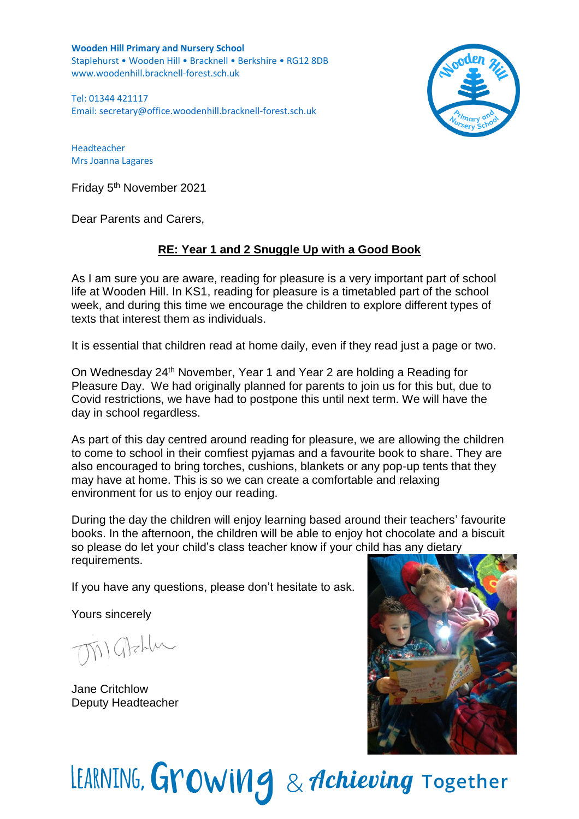**Wooden Hill Primary and Nursery School** Staplehurst • Wooden Hill • Bracknell • Berkshire • RG12 8DB www.woodenhill.bracknell-forest.sch.uk

Tel: 01344 421117 Email: [secretary@office.woodenhill.bracknell-forest.sch.uk](mailto:secretary@office.woodenhill.bracknell-forest.sch.uk)



Headteacher Mrs Joanna Lagares

Friday 5<sup>th</sup> November 2021

Dear Parents and Carers,

## **RE: Year 1 and 2 Snuggle Up with a Good Book**

As I am sure you are aware, reading for pleasure is a very important part of school life at Wooden Hill. In KS1, reading for pleasure is a timetabled part of the school week, and during this time we encourage the children to explore different types of texts that interest them as individuals.

It is essential that children read at home daily, even if they read just a page or two.

On Wednesday 24th November, Year 1 and Year 2 are holding a Reading for Pleasure Day. We had originally planned for parents to join us for this but, due to Covid restrictions, we have had to postpone this until next term. We will have the day in school regardless.

As part of this day centred around reading for pleasure, we are allowing the children to come to school in their comfiest pyjamas and a favourite book to share. They are also encouraged to bring torches, cushions, blankets or any pop-up tents that they may have at home. This is so we can create a comfortable and relaxing environment for us to enjoy our reading.

During the day the children will enjoy learning based around their teachers' favourite books. In the afternoon, the children will be able to enjoy hot chocolate and a biscuit so please do let your child's class teacher know if your child has any dietary requirements.

If you have any questions, please don't hesitate to ask.

Yours sincerely

Matchlu

Jane Critchlow Deputy Headteacher



LEARNING, Growing & Achieving Together